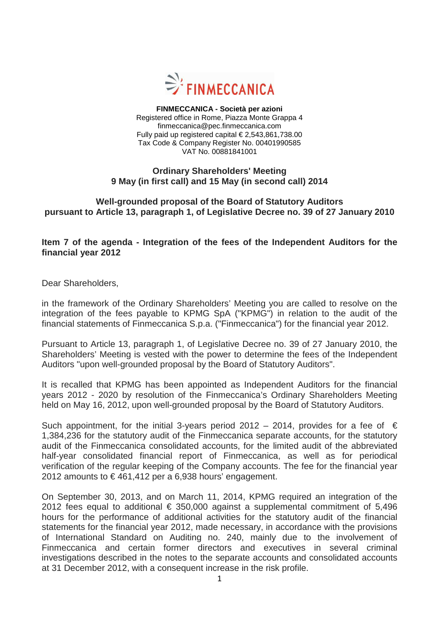

**FINMECCANICA - Società per azioni**  Registered office in Rome, Piazza Monte Grappa 4 finmeccanica@pec.finmeccanica.com Fully paid up registered capital  $\in$  2,543,861,738.00 Tax Code & Company Register No. 00401990585 VAT No. 00881841001

## **Ordinary Shareholders' Meeting 9 May (in first call) and 15 May (in second call) 2014**

## **Well-grounded proposal of the Board of Statutory Auditors pursuant to Article 13, paragraph 1, of Legislative Decree no. 39 of 27 January 2010**

## **Item 7 of the agenda - Integration of the fees of the Independent Auditors for the financial year 2012**

Dear Shareholders,

in the framework of the Ordinary Shareholders' Meeting you are called to resolve on the integration of the fees payable to KPMG SpA ("KPMG") in relation to the audit of the financial statements of Finmeccanica S.p.a. ("Finmeccanica") for the financial year 2012.

Pursuant to Article 13, paragraph 1, of Legislative Decree no. 39 of 27 January 2010, the Shareholders' Meeting is vested with the power to determine the fees of the Independent Auditors "upon well-grounded proposal by the Board of Statutory Auditors".

It is recalled that KPMG has been appointed as Independent Auditors for the financial years 2012 - 2020 by resolution of the Finmeccanica's Ordinary Shareholders Meeting held on May 16, 2012, upon well-grounded proposal by the Board of Statutory Auditors.

Such appointment, for the initial 3-years period 2012 – 2014, provides for a fee of  $\epsilon$ 1,384,236 for the statutory audit of the Finmeccanica separate accounts, for the statutory audit of the Finmeccanica consolidated accounts, for the limited audit of the abbreviated half-year consolidated financial report of Finmeccanica, as well as for periodical verification of the regular keeping of the Company accounts. The fee for the financial year 2012 amounts to  $\epsilon$  461,412 per a 6,938 hours' engagement.

On September 30, 2013, and on March 11, 2014, KPMG required an integration of the 2012 fees equal to additional  $\epsilon$  350,000 against a supplemental commitment of 5,496 hours for the performance of additional activities for the statutory audit of the financial statements for the financial year 2012, made necessary, in accordance with the provisions of International Standard on Auditing no. 240, mainly due to the involvement of Finmeccanica and certain former directors and executives in several criminal investigations described in the notes to the separate accounts and consolidated accounts at 31 December 2012, with a consequent increase in the risk profile.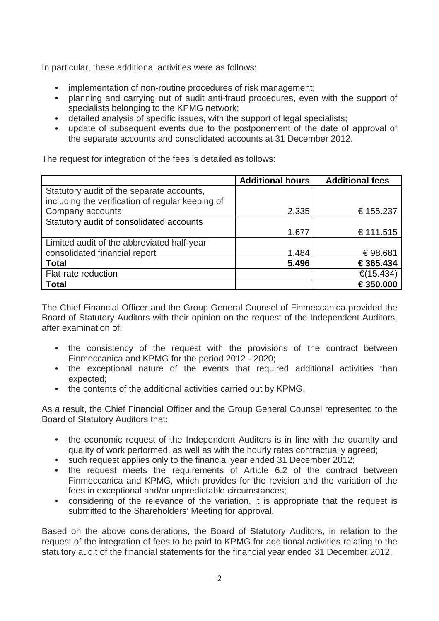In particular, these additional activities were as follows:

- implementation of non-routine procedures of risk management:
- planning and carrying out of audit anti-fraud procedures, even with the support of specialists belonging to the KPMG network;
- detailed analysis of specific issues, with the support of legal specialists;
- update of subsequent events due to the postponement of the date of approval of the separate accounts and consolidated accounts at 31 December 2012.

The request for integration of the fees is detailed as follows:

|                                                  | <b>Additional hours</b> | <b>Additional fees</b> |
|--------------------------------------------------|-------------------------|------------------------|
| Statutory audit of the separate accounts,        |                         |                        |
| including the verification of regular keeping of |                         |                        |
| Company accounts                                 | 2.335                   | € 155.237              |
| Statutory audit of consolidated accounts         |                         |                        |
|                                                  | 1.677                   | € 111.515              |
| Limited audit of the abbreviated half-year       |                         |                        |
| consolidated financial report                    | 1.484                   | € 98.681               |
| <b>Total</b>                                     | 5.496                   | € 365.434              |
| Flat-rate reduction                              |                         | €(15.434)              |
| <b>Total</b>                                     |                         | € 350.000              |

The Chief Financial Officer and the Group General Counsel of Finmeccanica provided the Board of Statutory Auditors with their opinion on the request of the Independent Auditors, after examination of:

- the consistency of the request with the provisions of the contract between Finmeccanica and KPMG for the period 2012 - 2020;
- the exceptional nature of the events that required additional activities than expected;
- the contents of the additional activities carried out by KPMG.

As a result, the Chief Financial Officer and the Group General Counsel represented to the Board of Statutory Auditors that:

- the economic request of the Independent Auditors is in line with the quantity and quality of work performed, as well as with the hourly rates contractually agreed;
- such request applies only to the financial year ended 31 December 2012;
- the request meets the requirements of Article 6.2 of the contract between Finmeccanica and KPMG, which provides for the revision and the variation of the fees in exceptional and/or unpredictable circumstances;
- considering of the relevance of the variation, it is appropriate that the request is submitted to the Shareholders' Meeting for approval.

Based on the above considerations, the Board of Statutory Auditors, in relation to the request of the integration of fees to be paid to KPMG for additional activities relating to the statutory audit of the financial statements for the financial year ended 31 December 2012,